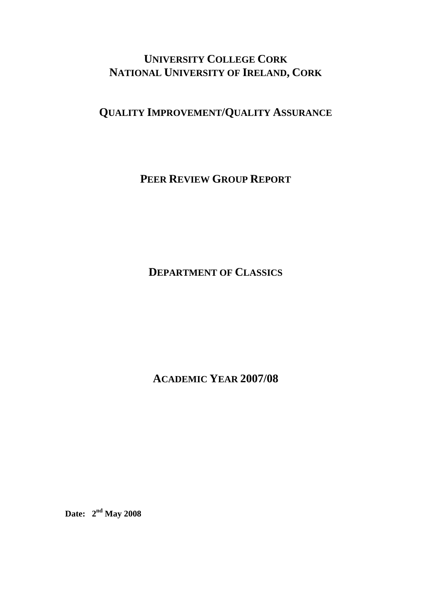# **UNIVERSITY COLLEGE CORK NATIONAL UNIVERSITY OF IRELAND, CORK**

**QUALITY IMPROVEMENT/QUALITY ASSURANCE**

**PEER REVIEW GROUP REPORT**

**DEPARTMENT OF CLASSICS**

**ACADEMIC YEAR 2007/08** 

**Date: 2nd May 2008**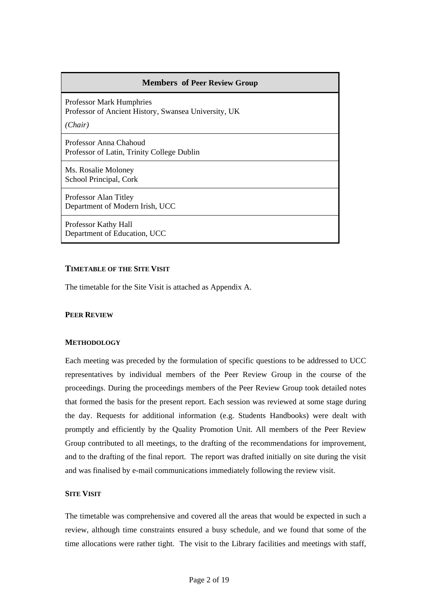# **Members of Peer Review Group**

Professor Mark Humphries Professor of Ancient History, Swansea University, UK

*(Chair)*

Professor Anna Chahoud Professor of Latin, Trinity College Dublin

Ms. Rosalie Moloney School Principal, Cork

Professor Alan Titley Department of Modern Irish, UCC

Professor Kathy Hall Department of Education, UCC

# **TIMETABLE OF THE SITE VISIT**

The timetable for the Site Visit is attached as Appendix A.

#### **PEER REVIEW**

#### **METHODOLOGY**

Each meeting was preceded by the formulation of specific questions to be addressed to UCC representatives by individual members of the Peer Review Group in the course of the proceedings. During the proceedings members of the Peer Review Group took detailed notes that formed the basis for the present report. Each session was reviewed at some stage during the day. Requests for additional information (e.g. Students Handbooks) were dealt with promptly and efficiently by the Quality Promotion Unit. All members of the Peer Review Group contributed to all meetings, to the drafting of the recommendations for improvement, and to the drafting of the final report. The report was drafted initially on site during the visit and was finalised by e-mail communications immediately following the review visit.

#### **SITE VISIT**

The timetable was comprehensive and covered all the areas that would be expected in such a review, although time constraints ensured a busy schedule, and we found that some of the time allocations were rather tight. The visit to the Library facilities and meetings with staff,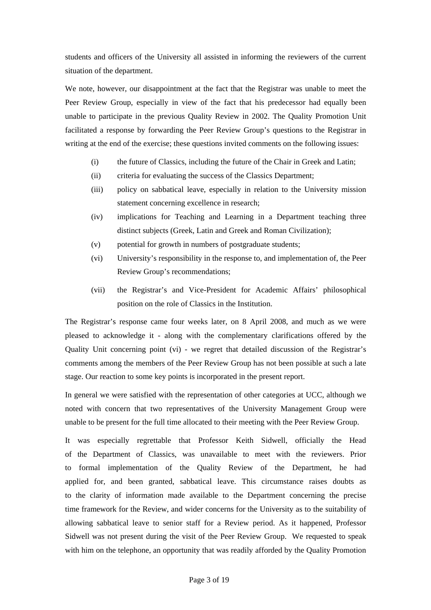students and officers of the University all assisted in informing the reviewers of the current situation of the department.

We note, however, our disappointment at the fact that the Registrar was unable to meet the Peer Review Group, especially in view of the fact that his predecessor had equally been unable to participate in the previous Quality Review in 2002. The Quality Promotion Unit facilitated a response by forwarding the Peer Review Group's questions to the Registrar in writing at the end of the exercise; these questions invited comments on the following issues:

- (i) the future of Classics, including the future of the Chair in Greek and Latin;
- (ii) criteria for evaluating the success of the Classics Department;
- (iii) policy on sabbatical leave, especially in relation to the University mission statement concerning excellence in research;
- (iv) implications for Teaching and Learning in a Department teaching three distinct subjects (Greek, Latin and Greek and Roman Civilization);
- (v) potential for growth in numbers of postgraduate students;
- (vi) University's responsibility in the response to, and implementation of, the Peer Review Group's recommendations;
- (vii) the Registrar's and Vice-President for Academic Affairs' philosophical position on the role of Classics in the Institution.

The Registrar's response came four weeks later, on 8 April 2008, and much as we were pleased to acknowledge it - along with the complementary clarifications offered by the Quality Unit concerning point (vi) - we regret that detailed discussion of the Registrar's comments among the members of the Peer Review Group has not been possible at such a late stage. Our reaction to some key points is incorporated in the present report.

In general we were satisfied with the representation of other categories at UCC, although we noted with concern that two representatives of the University Management Group were unable to be present for the full time allocated to their meeting with the Peer Review Group.

It was especially regrettable that Professor Keith Sidwell, officially the Head of the Department of Classics, was unavailable to meet with the reviewers. Prior to formal implementation of the Quality Review of the Department, he had applied for, and been granted, sabbatical leave. This circumstance raises doubts as to the clarity of information made available to the Department concerning the precise time framework for the Review, and wider concerns for the University as to the suitability of allowing sabbatical leave to senior staff for a Review period. As it happened, Professor Sidwell was not present during the visit of the Peer Review Group. We requested to speak with him on the telephone, an opportunity that was readily afforded by the Quality Promotion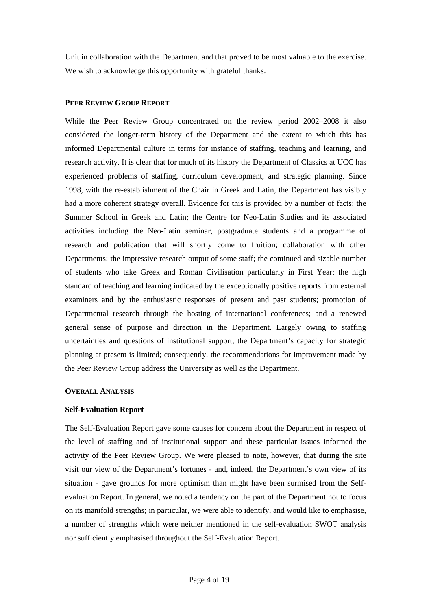Unit in collaboration with the Department and that proved to be most valuable to the exercise. We wish to acknowledge this opportunity with grateful thanks.

# **PEER REVIEW GROUP REPORT**

While the Peer Review Group concentrated on the review period 2002–2008 it also considered the longer-term history of the Department and the extent to which this has informed Departmental culture in terms for instance of staffing, teaching and learning, and research activity. It is clear that for much of its history the Department of Classics at UCC has experienced problems of staffing, curriculum development, and strategic planning. Since 1998, with the re-establishment of the Chair in Greek and Latin, the Department has visibly had a more coherent strategy overall. Evidence for this is provided by a number of facts: the Summer School in Greek and Latin; the Centre for Neo-Latin Studies and its associated activities including the Neo-Latin seminar, postgraduate students and a programme of research and publication that will shortly come to fruition; collaboration with other Departments; the impressive research output of some staff; the continued and sizable number of students who take Greek and Roman Civilisation particularly in First Year; the high standard of teaching and learning indicated by the exceptionally positive reports from external examiners and by the enthusiastic responses of present and past students; promotion of Departmental research through the hosting of international conferences; and a renewed general sense of purpose and direction in the Department. Largely owing to staffing uncertainties and questions of institutional support, the Department's capacity for strategic planning at present is limited; consequently, the recommendations for improvement made by the Peer Review Group address the University as well as the Department.

# **OVERALL ANALYSIS**

# **Self-Evaluation Report**

The Self-Evaluation Report gave some causes for concern about the Department in respect of the level of staffing and of institutional support and these particular issues informed the activity of the Peer Review Group. We were pleased to note, however, that during the site visit our view of the Department's fortunes - and, indeed, the Department's own view of its situation - gave grounds for more optimism than might have been surmised from the Selfevaluation Report. In general, we noted a tendency on the part of the Department not to focus on its manifold strengths; in particular, we were able to identify, and would like to emphasise, a number of strengths which were neither mentioned in the self-evaluation SWOT analysis nor sufficiently emphasised throughout the Self-Evaluation Report.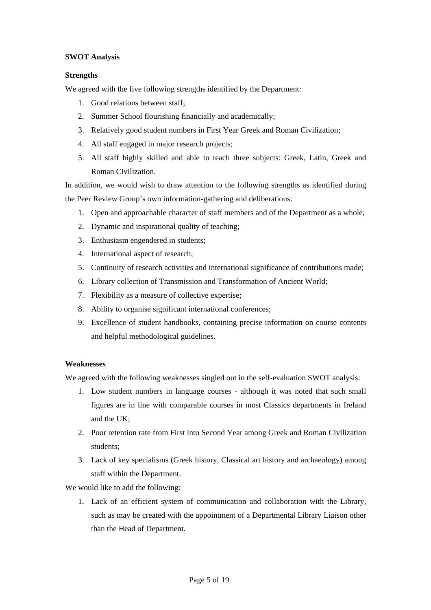# **SWOT Analysis**

# **Strengths**

We agreed with the five following strengths identified by the Department:

- 1. Good relations between staff;
- 2. Summer School flourishing financially and academically;
- 3. Relatively good student numbers in First Year Greek and Roman Civilization;
- 4. All staff engaged in major research projects;
- 5. All staff highly skilled and able to teach three subjects: Greek, Latin, Greek and Roman Civilization.

In addition, we would wish to draw attention to the following strengths as identified during the Peer Review Group's own information-gathering and deliberations:

- 1. Open and approachable character of staff members and of the Department as a whole;
- 2. Dynamic and inspirational quality of teaching;
- 3. Enthusiasm engendered in students;
- 4. International aspect of research;
- 5. Continuity of research activities and international significance of contributions made;
- 6. Library collection of Transmission and Transformation of Ancient World;
- 7. Flexibility as a measure of collective expertise;
- 8. Ability to organise significant international conferences;
- 9. Excellence of student handbooks, containing precise information on course contents and helpful methodological guidelines.

# **Weaknesses**

We agreed with the following weaknesses singled out in the self-evaluation SWOT analysis:

- 1. Low student numbers in language courses although it was noted that such small figures are in line with comparable courses in most Classics departments in Ireland and the UK;
- 2. Poor retention rate from First into Second Year among Greek and Roman Civilization students;
- 3. Lack of key specialisms (Greek history, Classical art history and archaeology) among staff within the Department.

We would like to add the following:

1. Lack of an efficient system of communication and collaboration with the Library, such as may be created with the appointment of a Departmental Library Liaison other than the Head of Department.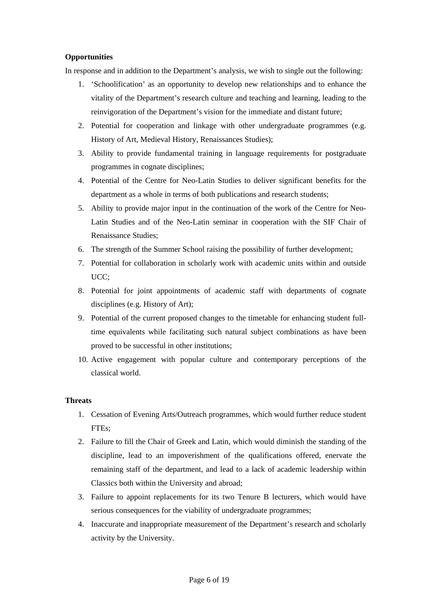# **Opportunities**

In response and in addition to the Department's analysis, we wish to single out the following:

- 1. 'Schoolification' as an opportunity to develop new relationships and to enhance the vitality of the Department's research culture and teaching and learning, leading to the reinvigoration of the Department's vision for the immediate and distant future;
- 2. Potential for cooperation and linkage with other undergraduate programmes (e.g. History of Art, Medieval History, Renaissances Studies);
- 3. Ability to provide fundamental training in language requirements for postgraduate programmes in cognate disciplines;
- 4. Potential of the Centre for Neo-Latin Studies to deliver significant benefits for the department as a whole in terms of both publications and research students;
- 5. Ability to provide major input in the continuation of the work of the Centre for Neo-Latin Studies and of the Neo-Latin seminar in cooperation with the SIF Chair of Renaissance Studies;
- 6. The strength of the Summer School raising the possibility of further development;
- 7. Potential for collaboration in scholarly work with academic units within and outside UCC;
- 8. Potential for joint appointments of academic staff with departments of cognate disciplines (e.g. History of Art);
- 9. Potential of the current proposed changes to the timetable for enhancing student fulltime equivalents while facilitating such natural subject combinations as have been proved to be successful in other institutions;
- 10. Active engagement with popular culture and contemporary perceptions of the classical world.

# **Threats**

- 1. Cessation of Evening Arts/Outreach programmes, which would further reduce student FTEs;
- 2. Failure to fill the Chair of Greek and Latin, which would diminish the standing of the discipline, lead to an impoverishment of the qualifications offered, enervate the remaining staff of the department, and lead to a lack of academic leadership within Classics both within the University and abroad;
- 3. Failure to appoint replacements for its two Tenure B lecturers, which would have serious consequences for the viability of undergraduate programmes;
- 4. Inaccurate and inappropriate measurement of the Department's research and scholarly activity by the University.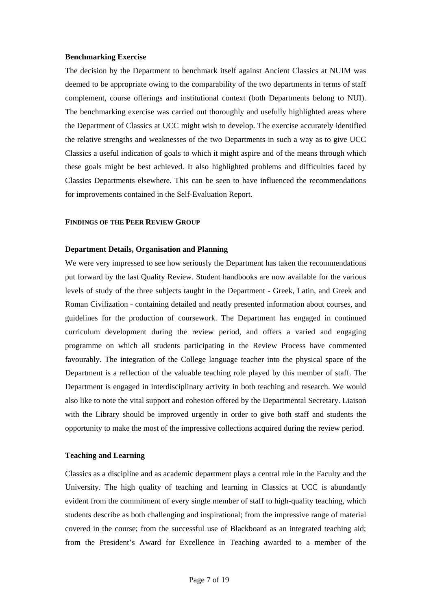#### **Benchmarking Exercise**

The decision by the Department to benchmark itself against Ancient Classics at NUIM was deemed to be appropriate owing to the comparability of the two departments in terms of staff complement, course offerings and institutional context (both Departments belong to NUI). The benchmarking exercise was carried out thoroughly and usefully highlighted areas where the Department of Classics at UCC might wish to develop. The exercise accurately identified the relative strengths and weaknesses of the two Departments in such a way as to give UCC Classics a useful indication of goals to which it might aspire and of the means through which these goals might be best achieved. It also highlighted problems and difficulties faced by Classics Departments elsewhere. This can be seen to have influenced the recommendations for improvements contained in the Self-Evaluation Report.

#### **FINDINGS OF THE PEER REVIEW GROUP**

## **Department Details, Organisation and Planning**

We were very impressed to see how seriously the Department has taken the recommendations put forward by the last Quality Review. Student handbooks are now available for the various levels of study of the three subjects taught in the Department - Greek, Latin, and Greek and Roman Civilization - containing detailed and neatly presented information about courses, and guidelines for the production of coursework. The Department has engaged in continued curriculum development during the review period, and offers a varied and engaging programme on which all students participating in the Review Process have commented favourably. The integration of the College language teacher into the physical space of the Department is a reflection of the valuable teaching role played by this member of staff. The Department is engaged in interdisciplinary activity in both teaching and research. We would also like to note the vital support and cohesion offered by the Departmental Secretary. Liaison with the Library should be improved urgently in order to give both staff and students the opportunity to make the most of the impressive collections acquired during the review period.

## **Teaching and Learning**

Classics as a discipline and as academic department plays a central role in the Faculty and the University. The high quality of teaching and learning in Classics at UCC is abundantly evident from the commitment of every single member of staff to high-quality teaching, which students describe as both challenging and inspirational; from the impressive range of material covered in the course; from the successful use of Blackboard as an integrated teaching aid; from the President's Award for Excellence in Teaching awarded to a member of the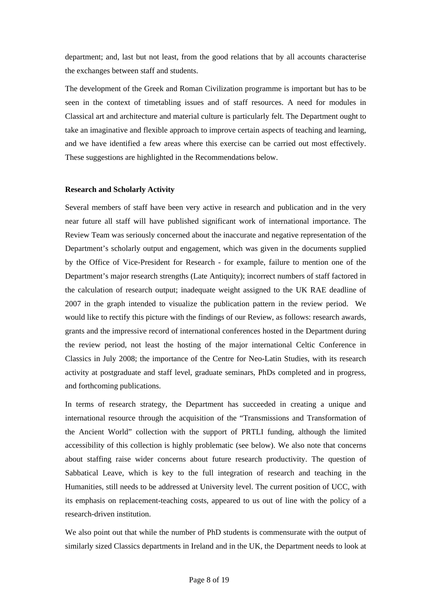department; and, last but not least, from the good relations that by all accounts characterise the exchanges between staff and students.

The development of the Greek and Roman Civilization programme is important but has to be seen in the context of timetabling issues and of staff resources. A need for modules in Classical art and architecture and material culture is particularly felt. The Department ought to take an imaginative and flexible approach to improve certain aspects of teaching and learning, and we have identified a few areas where this exercise can be carried out most effectively. These suggestions are highlighted in the Recommendations below.

#### **Research and Scholarly Activity**

Several members of staff have been very active in research and publication and in the very near future all staff will have published significant work of international importance. The Review Team was seriously concerned about the inaccurate and negative representation of the Department's scholarly output and engagement, which was given in the documents supplied by the Office of Vice-President for Research - for example, failure to mention one of the Department's major research strengths (Late Antiquity); incorrect numbers of staff factored in the calculation of research output; inadequate weight assigned to the UK RAE deadline of 2007 in the graph intended to visualize the publication pattern in the review period. We would like to rectify this picture with the findings of our Review, as follows: research awards, grants and the impressive record of international conferences hosted in the Department during the review period, not least the hosting of the major international Celtic Conference in Classics in July 2008; the importance of the Centre for Neo-Latin Studies, with its research activity at postgraduate and staff level, graduate seminars, PhDs completed and in progress, and forthcoming publications.

In terms of research strategy, the Department has succeeded in creating a unique and international resource through the acquisition of the "Transmissions and Transformation of the Ancient World" collection with the support of PRTLI funding, although the limited accessibility of this collection is highly problematic (see below). We also note that concerns about staffing raise wider concerns about future research productivity. The question of Sabbatical Leave, which is key to the full integration of research and teaching in the Humanities, still needs to be addressed at University level. The current position of UCC, with its emphasis on replacement-teaching costs, appeared to us out of line with the policy of a research-driven institution.

We also point out that while the number of PhD students is commensurate with the output of similarly sized Classics departments in Ireland and in the UK, the Department needs to look at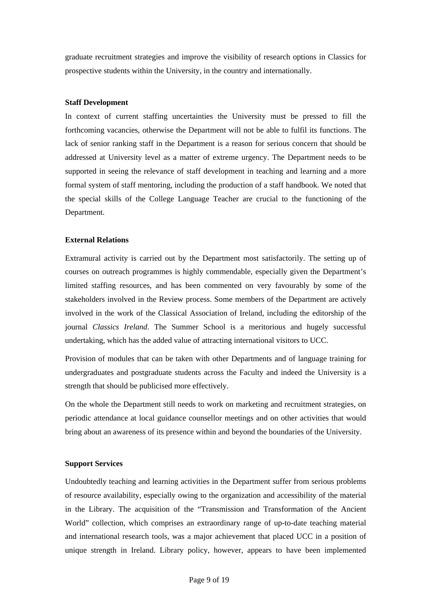graduate recruitment strategies and improve the visibility of research options in Classics for prospective students within the University, in the country and internationally.

## **Staff Development**

In context of current staffing uncertainties the University must be pressed to fill the forthcoming vacancies, otherwise the Department will not be able to fulfil its functions. The lack of senior ranking staff in the Department is a reason for serious concern that should be addressed at University level as a matter of extreme urgency. The Department needs to be supported in seeing the relevance of staff development in teaching and learning and a more formal system of staff mentoring, including the production of a staff handbook. We noted that the special skills of the College Language Teacher are crucial to the functioning of the Department.

#### **External Relations**

Extramural activity is carried out by the Department most satisfactorily. The setting up of courses on outreach programmes is highly commendable, especially given the Department's limited staffing resources, and has been commented on very favourably by some of the stakeholders involved in the Review process. Some members of the Department are actively involved in the work of the Classical Association of Ireland, including the editorship of the journal *Classics Ireland*. The Summer School is a meritorious and hugely successful undertaking, which has the added value of attracting international visitors to UCC.

Provision of modules that can be taken with other Departments and of language training for undergraduates and postgraduate students across the Faculty and indeed the University is a strength that should be publicised more effectively.

On the whole the Department still needs to work on marketing and recruitment strategies, on periodic attendance at local guidance counsellor meetings and on other activities that would bring about an awareness of its presence within and beyond the boundaries of the University.

#### **Support Services**

Undoubtedly teaching and learning activities in the Department suffer from serious problems of resource availability, especially owing to the organization and accessibility of the material in the Library. The acquisition of the "Transmission and Transformation of the Ancient World" collection, which comprises an extraordinary range of up-to-date teaching material and international research tools, was a major achievement that placed UCC in a position of unique strength in Ireland. Library policy, however, appears to have been implemented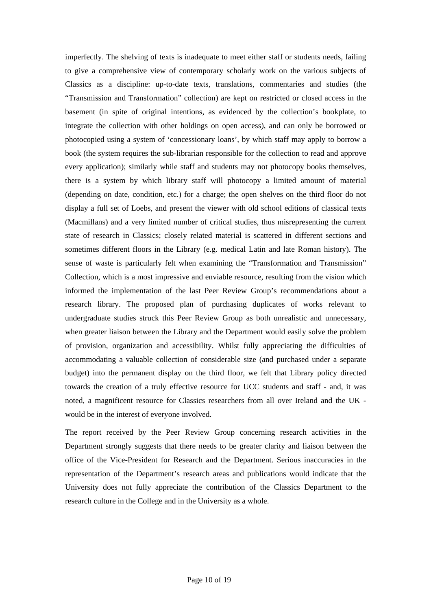imperfectly. The shelving of texts is inadequate to meet either staff or students needs, failing to give a comprehensive view of contemporary scholarly work on the various subjects of Classics as a discipline: up-to-date texts, translations, commentaries and studies (the "Transmission and Transformation" collection) are kept on restricted or closed access in the basement (in spite of original intentions, as evidenced by the collection's bookplate, to integrate the collection with other holdings on open access), and can only be borrowed or photocopied using a system of 'concessionary loans', by which staff may apply to borrow a book (the system requires the sub-librarian responsible for the collection to read and approve every application); similarly while staff and students may not photocopy books themselves, there is a system by which library staff will photocopy a limited amount of material (depending on date, condition, etc.) for a charge; the open shelves on the third floor do not display a full set of Loebs, and present the viewer with old school editions of classical texts (Macmillans) and a very limited number of critical studies, thus misrepresenting the current state of research in Classics; closely related material is scattered in different sections and sometimes different floors in the Library (e.g. medical Latin and late Roman history). The sense of waste is particularly felt when examining the "Transformation and Transmission" Collection, which is a most impressive and enviable resource, resulting from the vision which informed the implementation of the last Peer Review Group's recommendations about a research library. The proposed plan of purchasing duplicates of works relevant to undergraduate studies struck this Peer Review Group as both unrealistic and unnecessary, when greater liaison between the Library and the Department would easily solve the problem of provision, organization and accessibility. Whilst fully appreciating the difficulties of accommodating a valuable collection of considerable size (and purchased under a separate budget) into the permanent display on the third floor, we felt that Library policy directed towards the creation of a truly effective resource for UCC students and staff - and, it was noted, a magnificent resource for Classics researchers from all over Ireland and the UK would be in the interest of everyone involved.

The report received by the Peer Review Group concerning research activities in the Department strongly suggests that there needs to be greater clarity and liaison between the office of the Vice-President for Research and the Department. Serious inaccuracies in the representation of the Department's research areas and publications would indicate that the University does not fully appreciate the contribution of the Classics Department to the research culture in the College and in the University as a whole.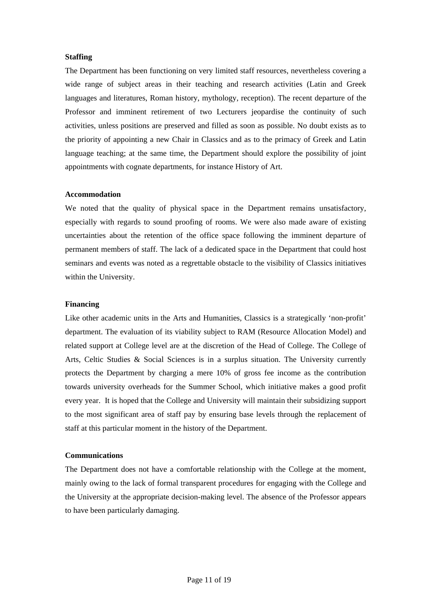#### **Staffing**

The Department has been functioning on very limited staff resources, nevertheless covering a wide range of subject areas in their teaching and research activities (Latin and Greek languages and literatures, Roman history, mythology, reception). The recent departure of the Professor and imminent retirement of two Lecturers jeopardise the continuity of such activities, unless positions are preserved and filled as soon as possible. No doubt exists as to the priority of appointing a new Chair in Classics and as to the primacy of Greek and Latin language teaching; at the same time, the Department should explore the possibility of joint appointments with cognate departments, for instance History of Art.

#### **Accommodation**

We noted that the quality of physical space in the Department remains unsatisfactory, especially with regards to sound proofing of rooms. We were also made aware of existing uncertainties about the retention of the office space following the imminent departure of permanent members of staff. The lack of a dedicated space in the Department that could host seminars and events was noted as a regrettable obstacle to the visibility of Classics initiatives within the University.

#### **Financing**

Like other academic units in the Arts and Humanities, Classics is a strategically 'non-profit' department. The evaluation of its viability subject to RAM (Resource Allocation Model) and related support at College level are at the discretion of the Head of College. The College of Arts, Celtic Studies & Social Sciences is in a surplus situation. The University currently protects the Department by charging a mere 10% of gross fee income as the contribution towards university overheads for the Summer School, which initiative makes a good profit every year. It is hoped that the College and University will maintain their subsidizing support to the most significant area of staff pay by ensuring base levels through the replacement of staff at this particular moment in the history of the Department.

#### **Communications**

The Department does not have a comfortable relationship with the College at the moment, mainly owing to the lack of formal transparent procedures for engaging with the College and the University at the appropriate decision-making level. The absence of the Professor appears to have been particularly damaging.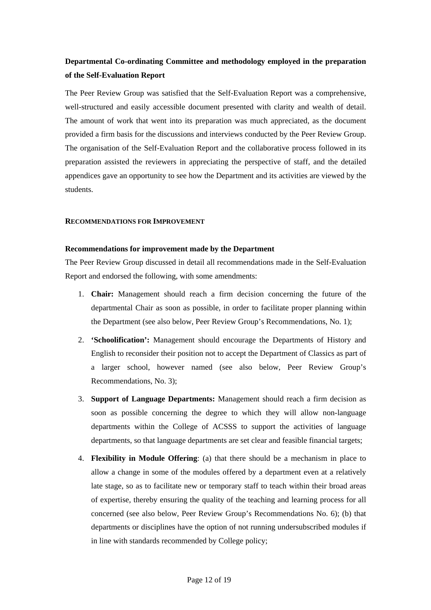# **Departmental Co-ordinating Committee and methodology employed in the preparation of the Self-Evaluation Report**

The Peer Review Group was satisfied that the Self-Evaluation Report was a comprehensive, well-structured and easily accessible document presented with clarity and wealth of detail. The amount of work that went into its preparation was much appreciated, as the document provided a firm basis for the discussions and interviews conducted by the Peer Review Group. The organisation of the Self-Evaluation Report and the collaborative process followed in its preparation assisted the reviewers in appreciating the perspective of staff, and the detailed appendices gave an opportunity to see how the Department and its activities are viewed by the students.

#### **RECOMMENDATIONS FOR IMPROVEMENT**

#### **Recommendations for improvement made by the Department**

The Peer Review Group discussed in detail all recommendations made in the Self-Evaluation Report and endorsed the following, with some amendments:

- 1. **Chair:** Management should reach a firm decision concerning the future of the departmental Chair as soon as possible, in order to facilitate proper planning within the Department (see also below, Peer Review Group's Recommendations, No. 1);
- 2. **'Schoolification':** Management should encourage the Departments of History and English to reconsider their position not to accept the Department of Classics as part of a larger school, however named (see also below, Peer Review Group's Recommendations, No. 3);
- 3. **Support of Language Departments:** Management should reach a firm decision as soon as possible concerning the degree to which they will allow non-language departments within the College of ACSSS to support the activities of language departments, so that language departments are set clear and feasible financial targets;
- 4. **Flexibility in Module Offering**: (a) that there should be a mechanism in place to allow a change in some of the modules offered by a department even at a relatively late stage, so as to facilitate new or temporary staff to teach within their broad areas of expertise, thereby ensuring the quality of the teaching and learning process for all concerned (see also below, Peer Review Group's Recommendations No. 6); (b) that departments or disciplines have the option of not running undersubscribed modules if in line with standards recommended by College policy;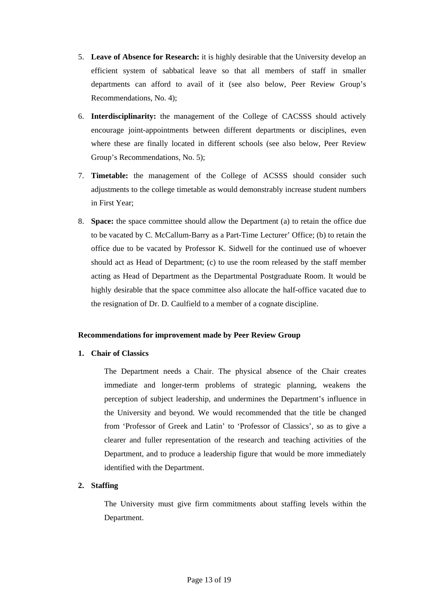- 5. **Leave of Absence for Research:** it is highly desirable that the University develop an efficient system of sabbatical leave so that all members of staff in smaller departments can afford to avail of it (see also below, Peer Review Group's Recommendations, No. 4);
- 6. **Interdisciplinarity:** the management of the College of CACSSS should actively encourage joint-appointments between different departments or disciplines, even where these are finally located in different schools (see also below, Peer Review Group's Recommendations, No. 5);
- 7. **Timetable:** the management of the College of ACSSS should consider such adjustments to the college timetable as would demonstrably increase student numbers in First Year;
- 8. **Space:** the space committee should allow the Department (a) to retain the office due to be vacated by C. McCallum-Barry as a Part-Time Lecturer' Office; (b) to retain the office due to be vacated by Professor K. Sidwell for the continued use of whoever should act as Head of Department; (c) to use the room released by the staff member acting as Head of Department as the Departmental Postgraduate Room. It would be highly desirable that the space committee also allocate the half-office vacated due to the resignation of Dr. D. Caulfield to a member of a cognate discipline.

# **Recommendations for improvement made by Peer Review Group**

# **1. Chair of Classics**

The Department needs a Chair. The physical absence of the Chair creates immediate and longer-term problems of strategic planning, weakens the perception of subject leadership, and undermines the Department's influence in the University and beyond. We would recommended that the title be changed from 'Professor of Greek and Latin' to 'Professor of Classics', so as to give a clearer and fuller representation of the research and teaching activities of the Department, and to produce a leadership figure that would be more immediately identified with the Department.

# **2. Staffing**

The University must give firm commitments about staffing levels within the Department.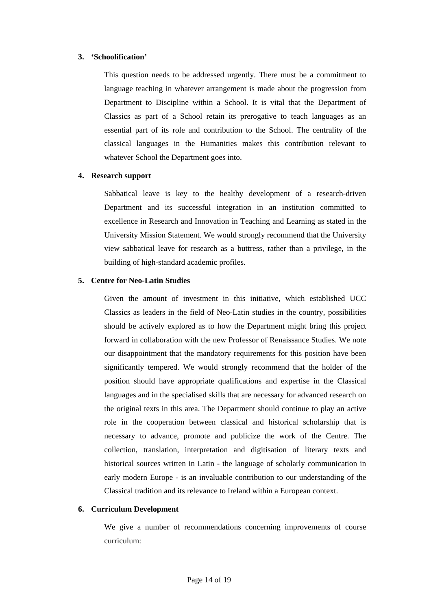# **3. 'Schoolification'**

This question needs to be addressed urgently. There must be a commitment to language teaching in whatever arrangement is made about the progression from Department to Discipline within a School. It is vital that the Department of Classics as part of a School retain its prerogative to teach languages as an essential part of its role and contribution to the School. The centrality of the classical languages in the Humanities makes this contribution relevant to whatever School the Department goes into.

#### **4. Research support**

Sabbatical leave is key to the healthy development of a research-driven Department and its successful integration in an institution committed to excellence in Research and Innovation in Teaching and Learning as stated in the University Mission Statement. We would strongly recommend that the University view sabbatical leave for research as a buttress, rather than a privilege, in the building of high-standard academic profiles.

#### **5. Centre for Neo-Latin Studies**

Given the amount of investment in this initiative, which established UCC Classics as leaders in the field of Neo-Latin studies in the country, possibilities should be actively explored as to how the Department might bring this project forward in collaboration with the new Professor of Renaissance Studies. We note our disappointment that the mandatory requirements for this position have been significantly tempered. We would strongly recommend that the holder of the position should have appropriate qualifications and expertise in the Classical languages and in the specialised skills that are necessary for advanced research on the original texts in this area. The Department should continue to play an active role in the cooperation between classical and historical scholarship that is necessary to advance, promote and publicize the work of the Centre. The collection, translation, interpretation and digitisation of literary texts and historical sources written in Latin - the language of scholarly communication in early modern Europe - is an invaluable contribution to our understanding of the Classical tradition and its relevance to Ireland within a European context.

#### **6. Curriculum Development**

We give a number of recommendations concerning improvements of course curriculum: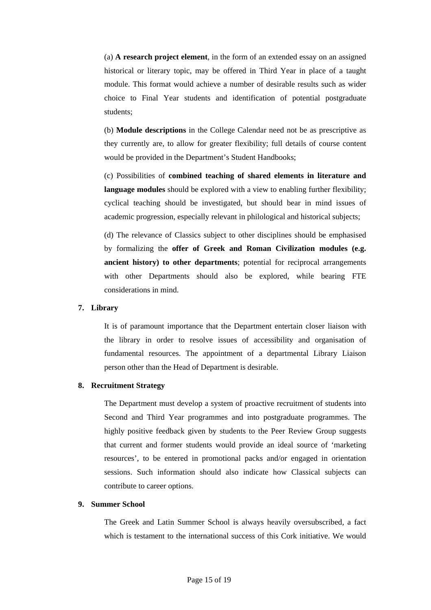(a) **A research project element**, in the form of an extended essay on an assigned historical or literary topic, may be offered in Third Year in place of a taught module. This format would achieve a number of desirable results such as wider choice to Final Year students and identification of potential postgraduate students;

(b) **Module descriptions** in the College Calendar need not be as prescriptive as they currently are, to allow for greater flexibility; full details of course content would be provided in the Department's Student Handbooks;

(c) Possibilities of **combined teaching of shared elements in literature and language modules** should be explored with a view to enabling further flexibility; cyclical teaching should be investigated, but should bear in mind issues of academic progression, especially relevant in philological and historical subjects;

(d) The relevance of Classics subject to other disciplines should be emphasised by formalizing the **offer of Greek and Roman Civilization modules (e.g. ancient history) to other departments**; potential for reciprocal arrangements with other Departments should also be explored, while bearing FTE considerations in mind.

# **7. Library**

It is of paramount importance that the Department entertain closer liaison with the library in order to resolve issues of accessibility and organisation of fundamental resources. The appointment of a departmental Library Liaison person other than the Head of Department is desirable.

# **8. Recruitment Strategy**

The Department must develop a system of proactive recruitment of students into Second and Third Year programmes and into postgraduate programmes. The highly positive feedback given by students to the Peer Review Group suggests that current and former students would provide an ideal source of 'marketing resources', to be entered in promotional packs and/or engaged in orientation sessions. Such information should also indicate how Classical subjects can contribute to career options.

# **9. Summer School**

The Greek and Latin Summer School is always heavily oversubscribed, a fact which is testament to the international success of this Cork initiative. We would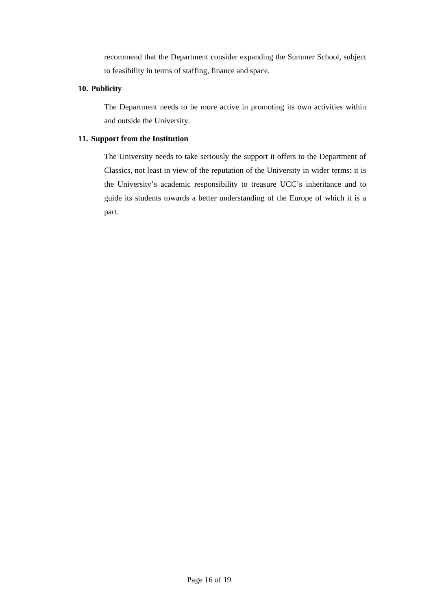recommend that the Department consider expanding the Summer School, subject to feasibility in terms of staffing, finance and space.

# **10. Publicity**

The Department needs to be more active in promoting its own activities within and outside the University.

# **11. Support from the Institution**

The University needs to take seriously the support it offers to the Department of Classics, not least in view of the reputation of the University in wider terms: it is the University's academic responsibility to treasure UCC's inheritance and to guide its students towards a better understanding of the Europe of which it is a part.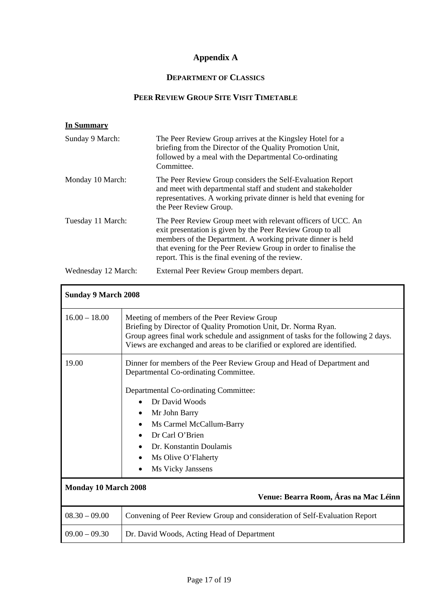# **Appendix A**

# **DEPARTMENT OF CLASSICS**

# **PEER REVIEW GROUP SITE VISIT TIMETABLE**

| In Summary          |                                                                                                                                                                                                                                                                                                                  |
|---------------------|------------------------------------------------------------------------------------------------------------------------------------------------------------------------------------------------------------------------------------------------------------------------------------------------------------------|
| Sunday 9 March:     | The Peer Review Group arrives at the Kingsley Hotel for a<br>briefing from the Director of the Quality Promotion Unit,<br>followed by a meal with the Departmental Co-ordinating<br>Committee.                                                                                                                   |
| Monday 10 March:    | The Peer Review Group considers the Self-Evaluation Report<br>and meet with departmental staff and student and stakeholder<br>representatives. A working private dinner is held that evening for<br>the Peer Review Group.                                                                                       |
| Tuesday 11 March:   | The Peer Review Group meet with relevant officers of UCC. An<br>exit presentation is given by the Peer Review Group to all<br>members of the Department. A working private dinner is held<br>that evening for the Peer Review Group in order to finalise the<br>report. This is the final evening of the review. |
| Wednesday 12 March: | External Peer Review Group members depart.                                                                                                                                                                                                                                                                       |

| <b>Sunday 9 March 2008</b> |                                                                                                                                                                                                                                                                                   |
|----------------------------|-----------------------------------------------------------------------------------------------------------------------------------------------------------------------------------------------------------------------------------------------------------------------------------|
| $16.00 - 18.00$            | Meeting of members of the Peer Review Group<br>Briefing by Director of Quality Promotion Unit, Dr. Norma Ryan.<br>Group agrees final work schedule and assignment of tasks for the following 2 days.<br>Views are exchanged and areas to be clarified or explored are identified. |
| 19.00                      | Dinner for members of the Peer Review Group and Head of Department and<br>Departmental Co-ordinating Committee.                                                                                                                                                                   |
|                            | Departmental Co-ordinating Committee:                                                                                                                                                                                                                                             |
|                            | Dr David Woods                                                                                                                                                                                                                                                                    |
|                            | Mr John Barry<br>٠                                                                                                                                                                                                                                                                |
|                            | Ms Carmel McCallum-Barry<br>$\bullet$                                                                                                                                                                                                                                             |
|                            | Dr Carl O'Brien                                                                                                                                                                                                                                                                   |
|                            | Dr. Konstantin Doulamis                                                                                                                                                                                                                                                           |
|                            | Ms Olive O'Flaherty<br>$\bullet$<br>Ms Vicky Janssens                                                                                                                                                                                                                             |
| Monday 10 March 2008       | Venue: Bearra Room, Áras na Mac Léinn                                                                                                                                                                                                                                             |
| $08.30 - 09.00$            | Convening of Peer Review Group and consideration of Self-Evaluation Report                                                                                                                                                                                                        |
| $09.00 - 09.30$            | Dr. David Woods, Acting Head of Department                                                                                                                                                                                                                                        |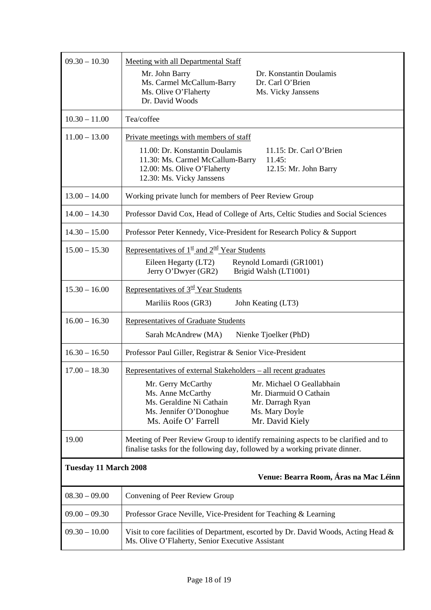| $09.30 - 10.30$                                                       | <b>Meeting with all Departmental Staff</b><br>Dr. Konstantin Doulamis<br>Mr. John Barry<br>Ms. Carmel McCallum-Barry<br>Dr. Carl O'Brien<br>Ms. Olive O'Flaherty<br>Ms. Vicky Janssens<br>Dr. David Woods                                                                                                 |  |
|-----------------------------------------------------------------------|-----------------------------------------------------------------------------------------------------------------------------------------------------------------------------------------------------------------------------------------------------------------------------------------------------------|--|
| $10.30 - 11.00$                                                       | Tea/coffee                                                                                                                                                                                                                                                                                                |  |
| $11.00 - 13.00$                                                       | Private meetings with members of staff<br>11.15: Dr. Carl O'Brien<br>11.00: Dr. Konstantin Doulamis<br>11.30: Ms. Carmel McCallum-Barry<br>11.45:<br>12.00: Ms. Olive O'Flaherty<br>12.15: Mr. John Barry<br>12.30: Ms. Vicky Janssens                                                                    |  |
| $13.00 - 14.00$                                                       | Working private lunch for members of Peer Review Group                                                                                                                                                                                                                                                    |  |
| $14.00 - 14.30$                                                       | Professor David Cox, Head of College of Arts, Celtic Studies and Social Sciences                                                                                                                                                                                                                          |  |
| $14.30 - 15.00$                                                       | Professor Peter Kennedy, Vice-President for Research Policy & Support                                                                                                                                                                                                                                     |  |
| $15.00 - 15.30$                                                       | Representatives of $1st$ and $2nd$ Year Students<br>Reynold Lomardi (GR1001)<br>Eileen Hegarty (LT2)<br>Jerry O'Dwyer (GR2)<br>Brigid Walsh (LT1001)                                                                                                                                                      |  |
| $15.30 - 16.00$                                                       | Representatives of 3 <sup>rd</sup> Year Students<br>Mariliis Roos (GR3)<br>John Keating (LT3)                                                                                                                                                                                                             |  |
| $16.00 - 16.30$                                                       | Representatives of Graduate Students<br>Sarah McAndrew (MA)<br>Nienke Tjoelker (PhD)                                                                                                                                                                                                                      |  |
| $16.30 - 16.50$                                                       | Professor Paul Giller, Registrar & Senior Vice-President                                                                                                                                                                                                                                                  |  |
| $17.00 - 18.30$                                                       | Representatives of external Stakeholders – all recent graduates<br>Mr. Michael O Geallabhain<br>Mr. Gerry McCarthy<br>Ms. Anne McCarthy<br>Mr. Diarmuid O Cathain<br>Ms. Geraldine Ni Cathain<br>Mr. Darragh Ryan<br>Ms. Jennifer O'Donoghue<br>Ms. Mary Doyle<br>Ms. Aoife O' Farrell<br>Mr. David Kiely |  |
| 19.00                                                                 | Meeting of Peer Review Group to identify remaining aspects to be clarified and to<br>finalise tasks for the following day, followed by a working private dinner.                                                                                                                                          |  |
| <b>Tuesday 11 March 2008</b><br>Venue: Bearra Room, Áras na Mac Léinn |                                                                                                                                                                                                                                                                                                           |  |
| $08.30 - 09.00$                                                       | Convening of Peer Review Group                                                                                                                                                                                                                                                                            |  |
| $09.00 - 09.30$                                                       | Professor Grace Neville, Vice-President for Teaching & Learning                                                                                                                                                                                                                                           |  |
| $09.30 - 10.00$                                                       | Visit to core facilities of Department, escorted by Dr. David Woods, Acting Head &<br>Ms. Olive O'Flaherty, Senior Executive Assistant                                                                                                                                                                    |  |